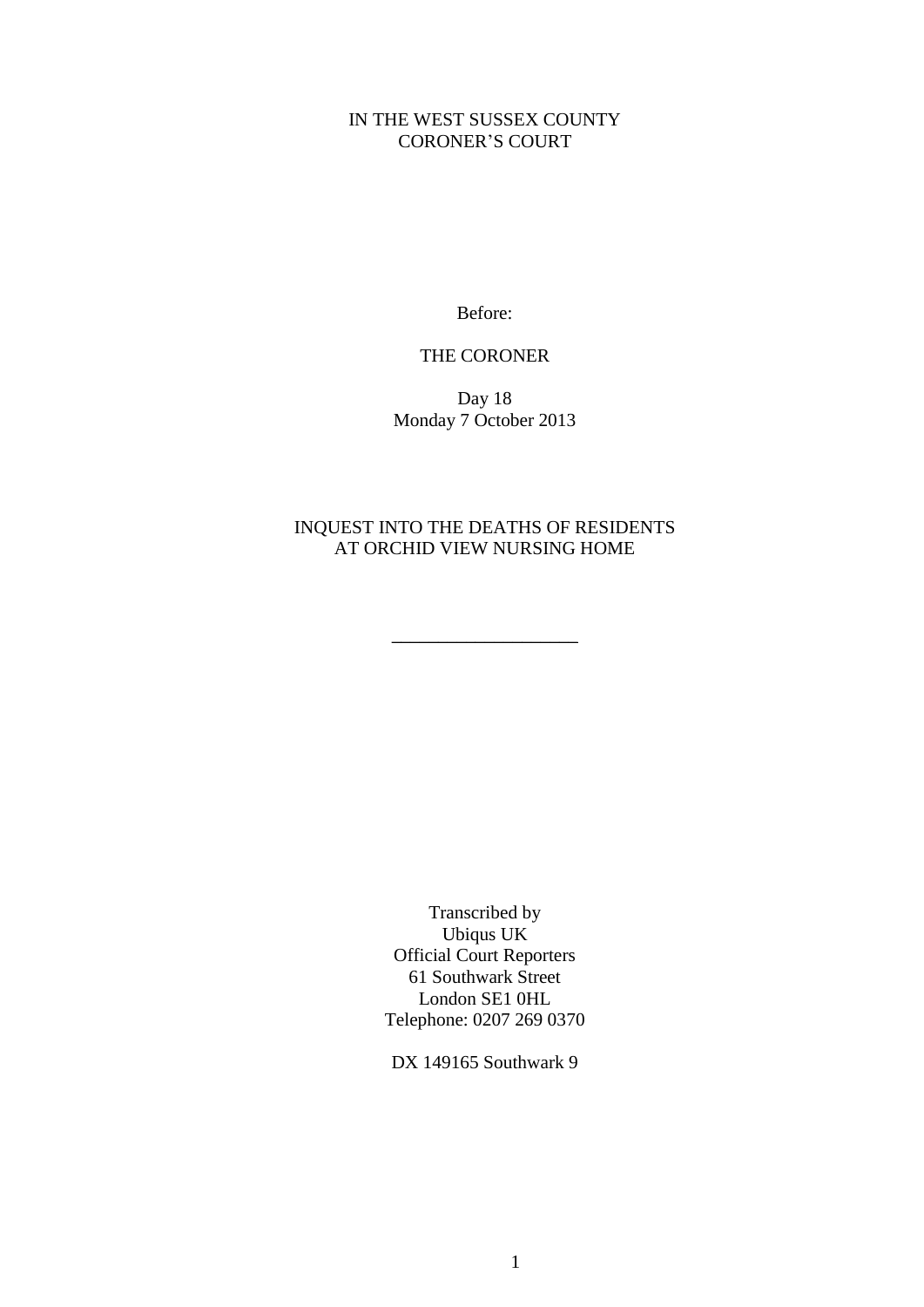## IN THE WEST SUSSEX COUNTY CORONER'S COURT

Before:

## THE CORONER

Day 18 Monday 7 October 2013

## INQUEST INTO THE DEATHS OF RESIDENTS AT ORCHID VIEW NURSING HOME

\_\_\_\_\_\_\_\_\_\_\_\_\_\_\_\_\_\_\_\_

Transcribed by Ubiqus UK Official Court Reporters 61 Southwark Street London SE1 0HL Telephone: 0207 269 0370

DX 149165 Southwark 9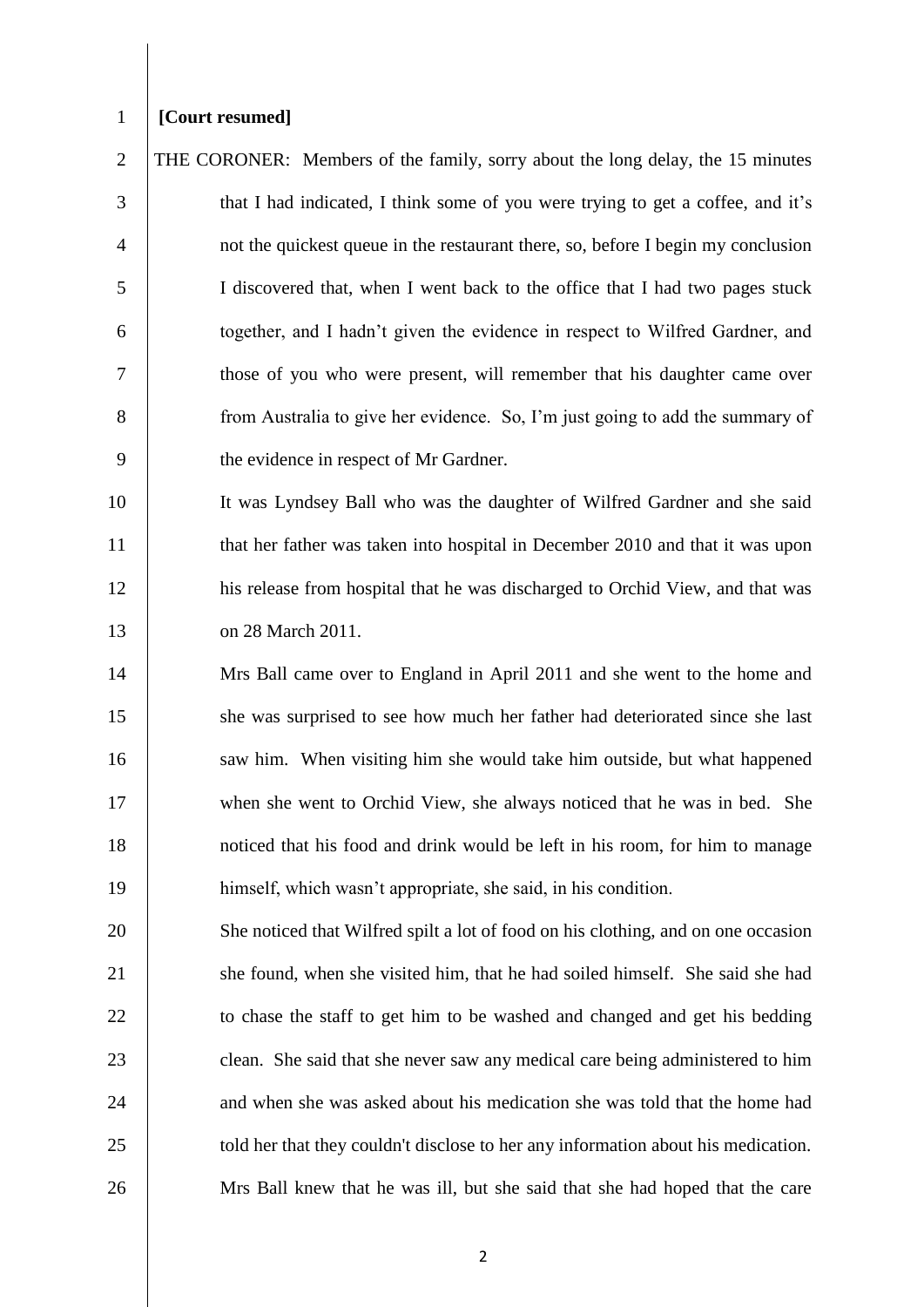## 1 **[Court resumed]**

 THE CORONER: Members of the family, sorry about the long delay, the 15 minutes that I had indicated, I think some of you were trying to get a coffee, and it's not the quickest queue in the restaurant there, so, before I begin my conclusion I discovered that, when I went back to the office that I had two pages stuck together, and I hadn't given the evidence in respect to Wilfred Gardner, and those of you who were present, will remember that his daughter came over 8 from Australia to give her evidence. So, I'm just going to add the summary of 9 b the evidence in respect of Mr Gardner.

10 It was Lyndsey Ball who was the daughter of Wilfred Gardner and she said 11 that her father was taken into hospital in December 2010 and that it was upon 12 his release from hospital that he was discharged to Orchid View, and that was 13 on 28 March 2011.

 Mrs Ball came over to England in April 2011 and she went to the home and she was surprised to see how much her father had deteriorated since she last 16 saw him. When visiting him she would take him outside, but what happened 17 when she went to Orchid View, she always noticed that he was in bed. She noticed that his food and drink would be left in his room, for him to manage himself, which wasn't appropriate, she said, in his condition.

20 She noticed that Wilfred spilt a lot of food on his clothing, and on one occasion 21 she found, when she visited him, that he had soiled himself. She said she had 22 to chase the staff to get him to be washed and changed and get his bedding 23 clean. She said that she never saw any medical care being administered to him 24 and when she was asked about his medication she was told that the home had 25 | told her that they couldn't disclose to her any information about his medication. 26 Mrs Ball knew that he was ill, but she said that she had hoped that the care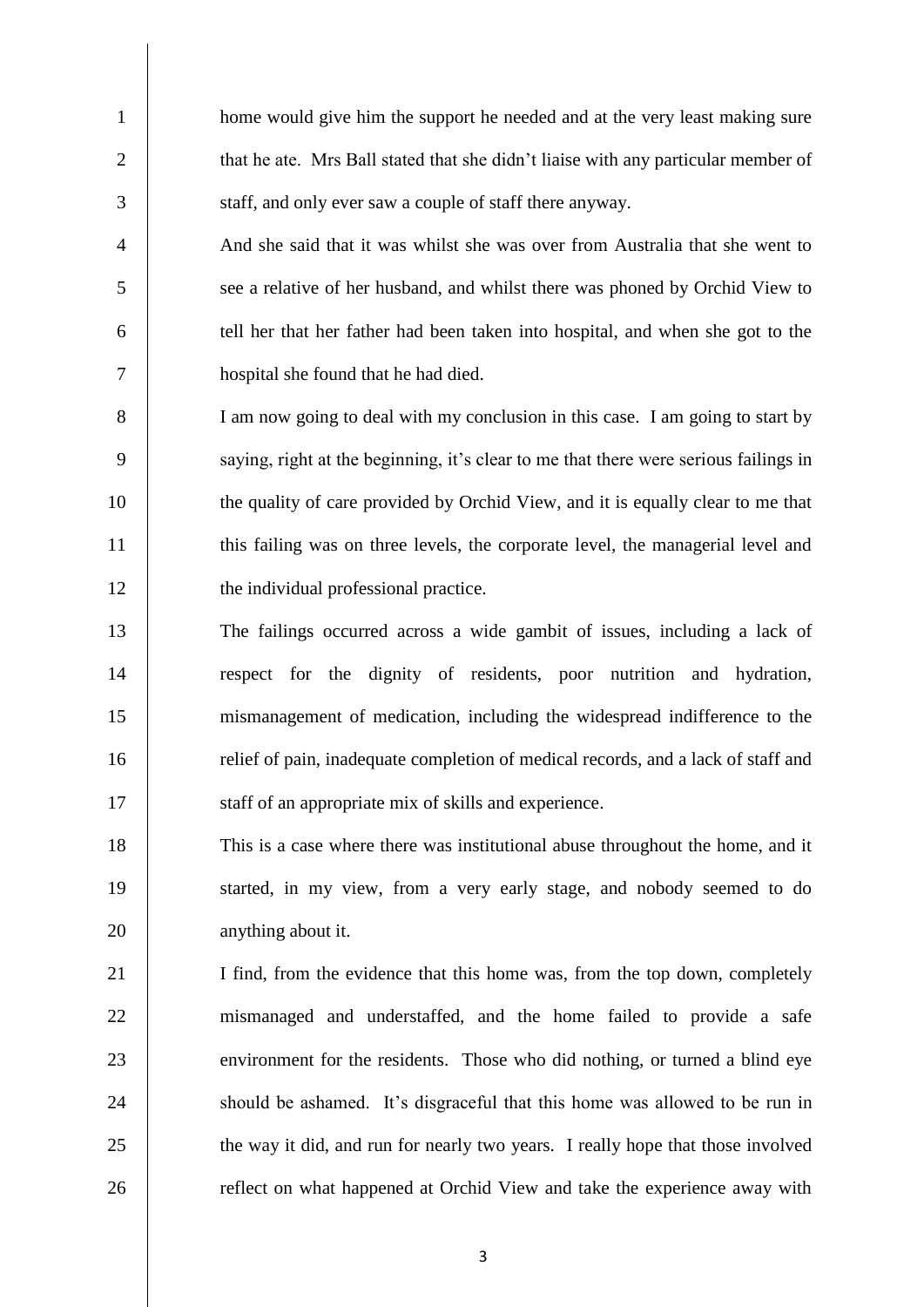1 home would give him the support he needed and at the very least making sure 2 that he ate. Mrs Ball stated that she didn't liaise with any particular member of 3 staff, and only ever saw a couple of staff there anyway.

4 And she said that it was whilst she was over from Australia that she went to 5 see a relative of her husband, and whilst there was phoned by Orchid View to 6 tell her that her father had been taken into hospital, and when she got to the 7 hospital she found that he had died.

8 I am now going to deal with my conclusion in this case. I am going to start by 9 saying, right at the beginning, it's clear to me that there were serious failings in 10 the quality of care provided by Orchid View, and it is equally clear to me that 11 this failing was on three levels, the corporate level, the managerial level and 12 the individual professional practice.

 The failings occurred across a wide gambit of issues, including a lack of respect for the dignity of residents, poor nutrition and hydration, mismanagement of medication, including the widespread indifference to the relief of pain, inadequate completion of medical records, and a lack of staff and 17 staff of an appropriate mix of skills and experience.

18 This is a case where there was institutional abuse throughout the home, and it 19 started, in my view, from a very early stage, and nobody seemed to do 20 anything about it.

21 | I find, from the evidence that this home was, from the top down, completely 22 mismanaged and understaffed, and the home failed to provide a safe 23 environment for the residents. Those who did nothing, or turned a blind eye 24 should be ashamed. It's disgraceful that this home was allowed to be run in 25 the way it did, and run for nearly two years. I really hope that those involved 26 Teflect on what happened at Orchid View and take the experience away with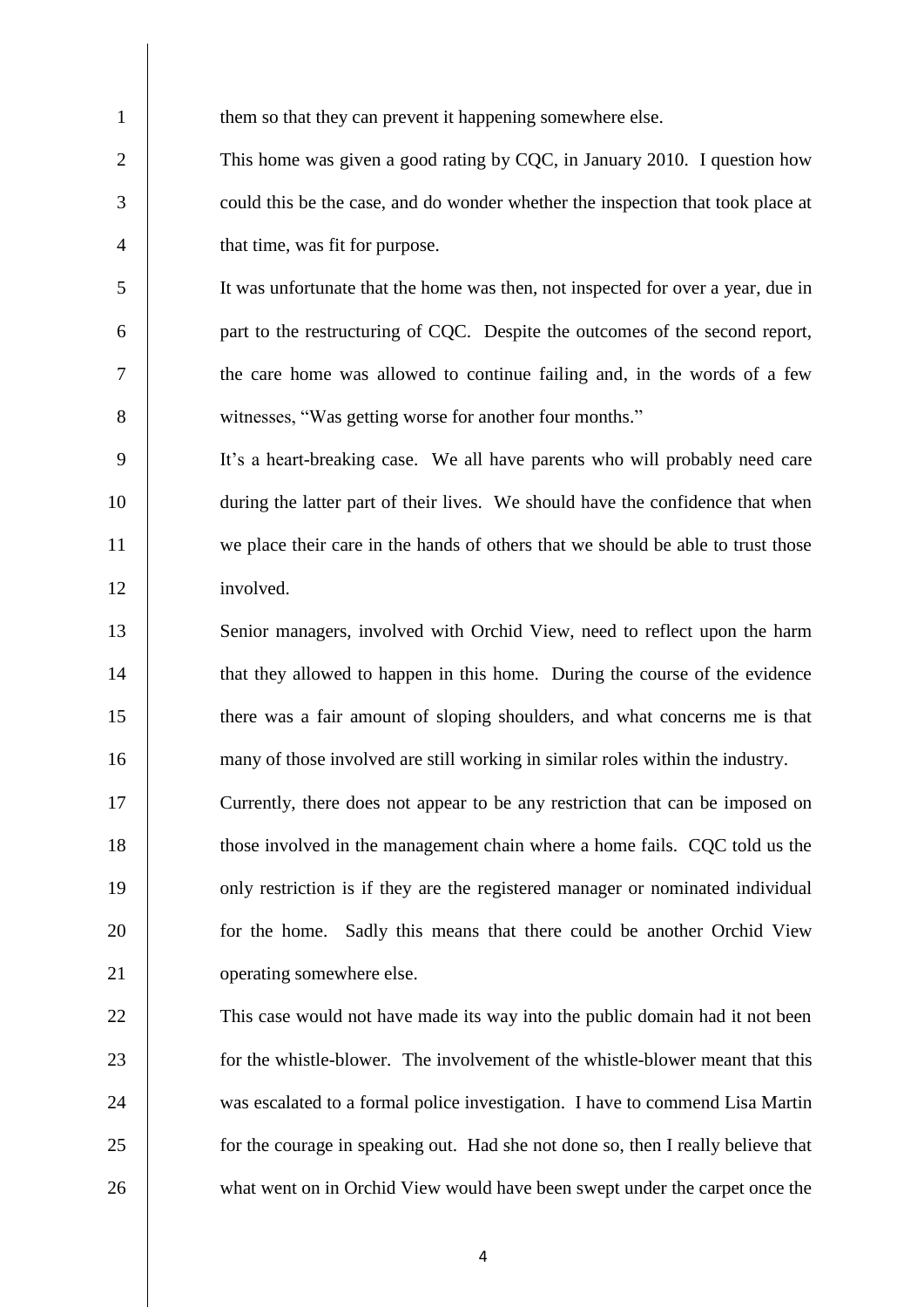1 them so that they can prevent it happening somewhere else.

 This home was given a good rating by CQC, in January 2010. I question how could this be the case, and do wonder whether the inspection that took place at 4 that time, was fit for purpose.

 It was unfortunate that the home was then, not inspected for over a year, due in part to the restructuring of CQC. Despite the outcomes of the second report, the care home was allowed to continue failing and, in the words of a few witnesses, "Was getting worse for another four months."

 It's a heart-breaking case. We all have parents who will probably need care during the latter part of their lives. We should have the confidence that when 11 we place their care in the hands of others that we should be able to trust those involved.

13 Senior managers, involved with Orchid View, need to reflect upon the harm 14 that they allowed to happen in this home. During the course of the evidence there was a fair amount of sloping shoulders, and what concerns me is that many of those involved are still working in similar roles within the industry.

 Currently, there does not appear to be any restriction that can be imposed on those involved in the management chain where a home fails. CQC told us the only restriction is if they are the registered manager or nominated individual 20 for the home. Sadly this means that there could be another Orchid View 21 operating somewhere else.

 This case would not have made its way into the public domain had it not been 23 for the whistle-blower. The involvement of the whistle-blower meant that this was escalated to a formal police investigation. I have to commend Lisa Martin 25 for the courage in speaking out. Had she not done so, then I really believe that 26 what went on in Orchid View would have been swept under the carpet once the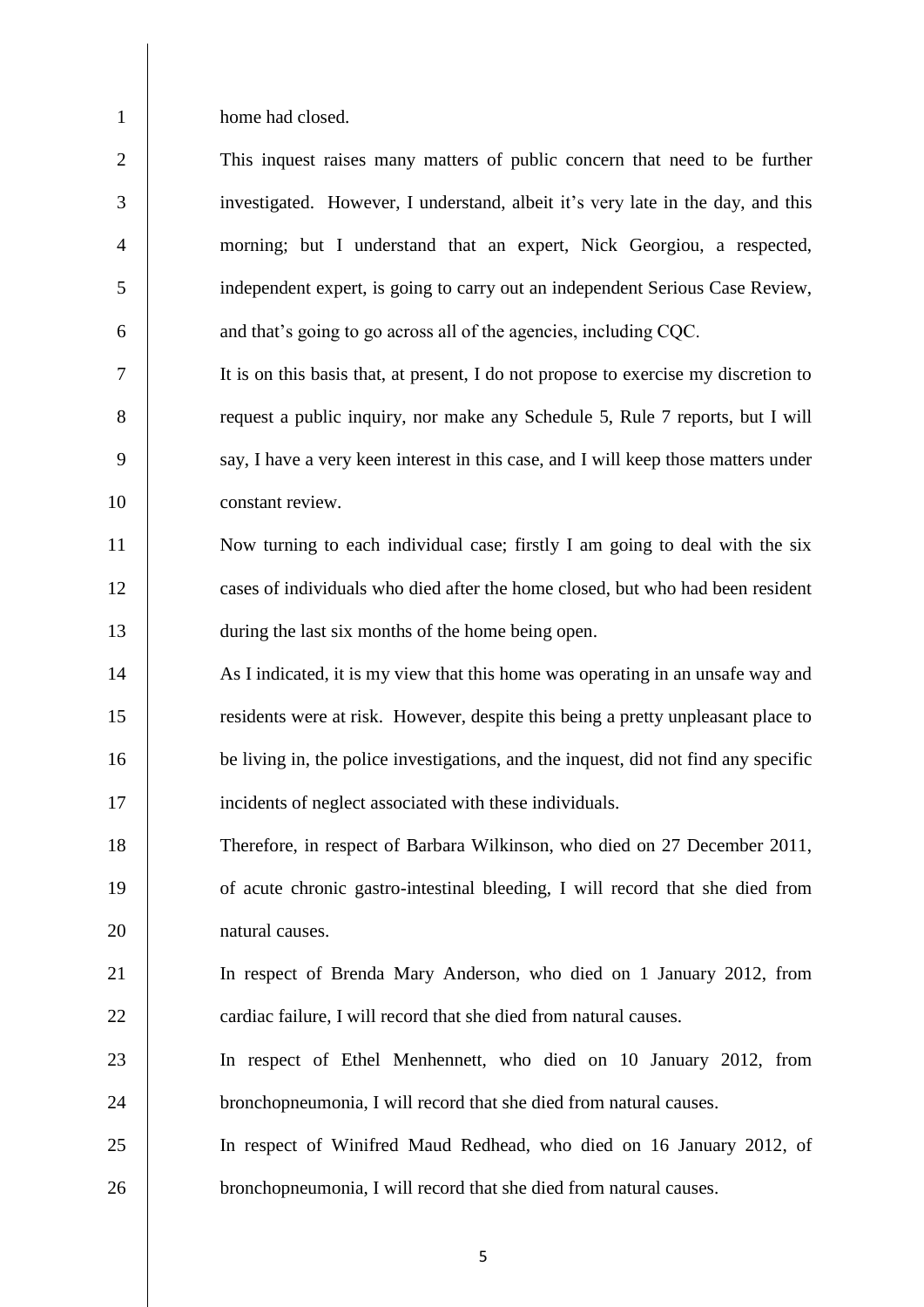1 home had closed.

| $\overline{2}$ | This inquest raises many matters of public concern that need to be further          |
|----------------|-------------------------------------------------------------------------------------|
| 3              | investigated. However, I understand, albeit it's very late in the day, and this     |
| $\overline{4}$ | morning; but I understand that an expert, Nick Georgiou, a respected,               |
| 5              | independent expert, is going to carry out an independent Serious Case Review,       |
| 6              | and that's going to go across all of the agencies, including CQC.                   |
| $\tau$         | It is on this basis that, at present, I do not propose to exercise my discretion to |
| 8              | request a public inquiry, nor make any Schedule 5, Rule 7 reports, but I will       |
| 9              | say, I have a very keen interest in this case, and I will keep those matters under  |
| 10             | constant review.                                                                    |
| 11             | Now turning to each individual case; firstly I am going to deal with the six        |
| 12             | cases of individuals who died after the home closed, but who had been resident      |
| 13             | during the last six months of the home being open.                                  |
| 14             | As I indicated, it is my view that this home was operating in an unsafe way and     |
| 15             | residents were at risk. However, despite this being a pretty unpleasant place to    |
| 16             | be living in, the police investigations, and the inquest, did not find any specific |
| 17             | incidents of neglect associated with these individuals.                             |
| 18             | Therefore, in respect of Barbara Wilkinson, who died on 27 December 2011,           |
| 19             | of acute chronic gastro-intestinal bleeding, I will record that she died from       |
| 20             | natural causes.                                                                     |
| 21             | In respect of Brenda Mary Anderson, who died on 1 January 2012, from                |
| 22             | cardiac failure, I will record that she died from natural causes.                   |
| 23             | In respect of Ethel Menhennett, who died on 10 January 2012, from                   |
| 24             | bronchopneumonia, I will record that she died from natural causes.                  |
| 25             | In respect of Winifred Maud Redhead, who died on 16 January 2012, of                |
| 26             | bronchopneumonia, I will record that she died from natural causes.                  |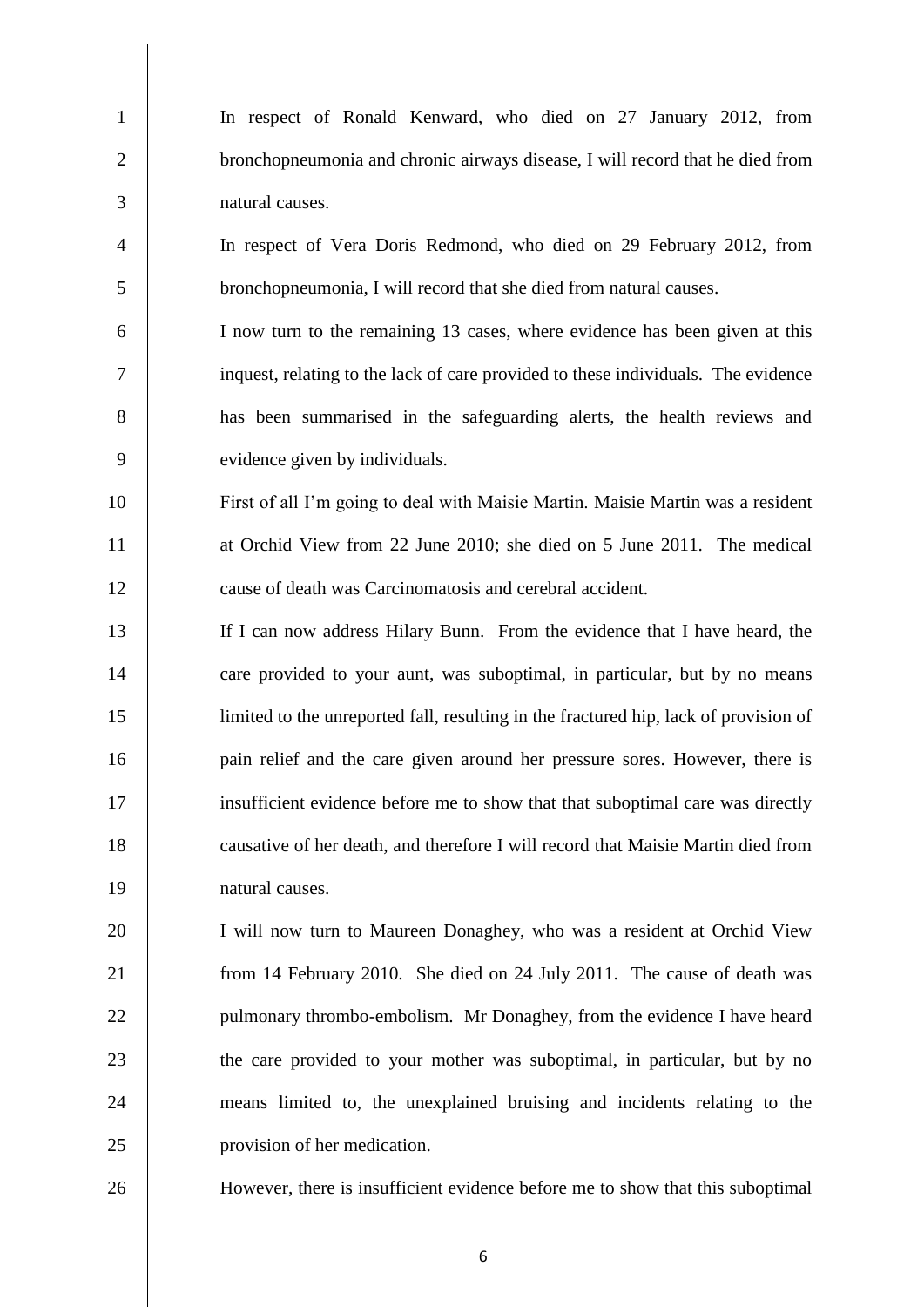In respect of Ronald Kenward, who died on 27 January 2012, from 2 bronchopneumonia and chronic airways disease, I will record that he died from natural causes. In respect of Vera Doris Redmond, who died on 29 February 2012, from bronchopneumonia, I will record that she died from natural causes. I now turn to the remaining 13 cases, where evidence has been given at this inquest, relating to the lack of care provided to these individuals. The evidence has been summarised in the safeguarding alerts, the health reviews and

evidence given by individuals.

 First of all I'm going to deal with Maisie Martin. Maisie Martin was a resident 11 at Orchid View from 22 June 2010; she died on 5 June 2011. The medical 12 cause of death was Carcinomatosis and cerebral accident.

 If I can now address Hilary Bunn. From the evidence that I have heard, the 14 care provided to your aunt, was suboptimal, in particular, but by no means limited to the unreported fall, resulting in the fractured hip, lack of provision of 16 pain relief and the care given around her pressure sores. However, there is insufficient evidence before me to show that that suboptimal care was directly causative of her death, and therefore I will record that Maisie Martin died from natural causes.

 I will now turn to Maureen Donaghey, who was a resident at Orchid View from 14 February 2010. She died on 24 July 2011. The cause of death was 22 | pulmonary thrombo-embolism. Mr Donaghey, from the evidence I have heard 23 the care provided to your mother was suboptimal, in particular, but by no means limited to, the unexplained bruising and incidents relating to the provision of her medication.

However, there is insufficient evidence before me to show that this suboptimal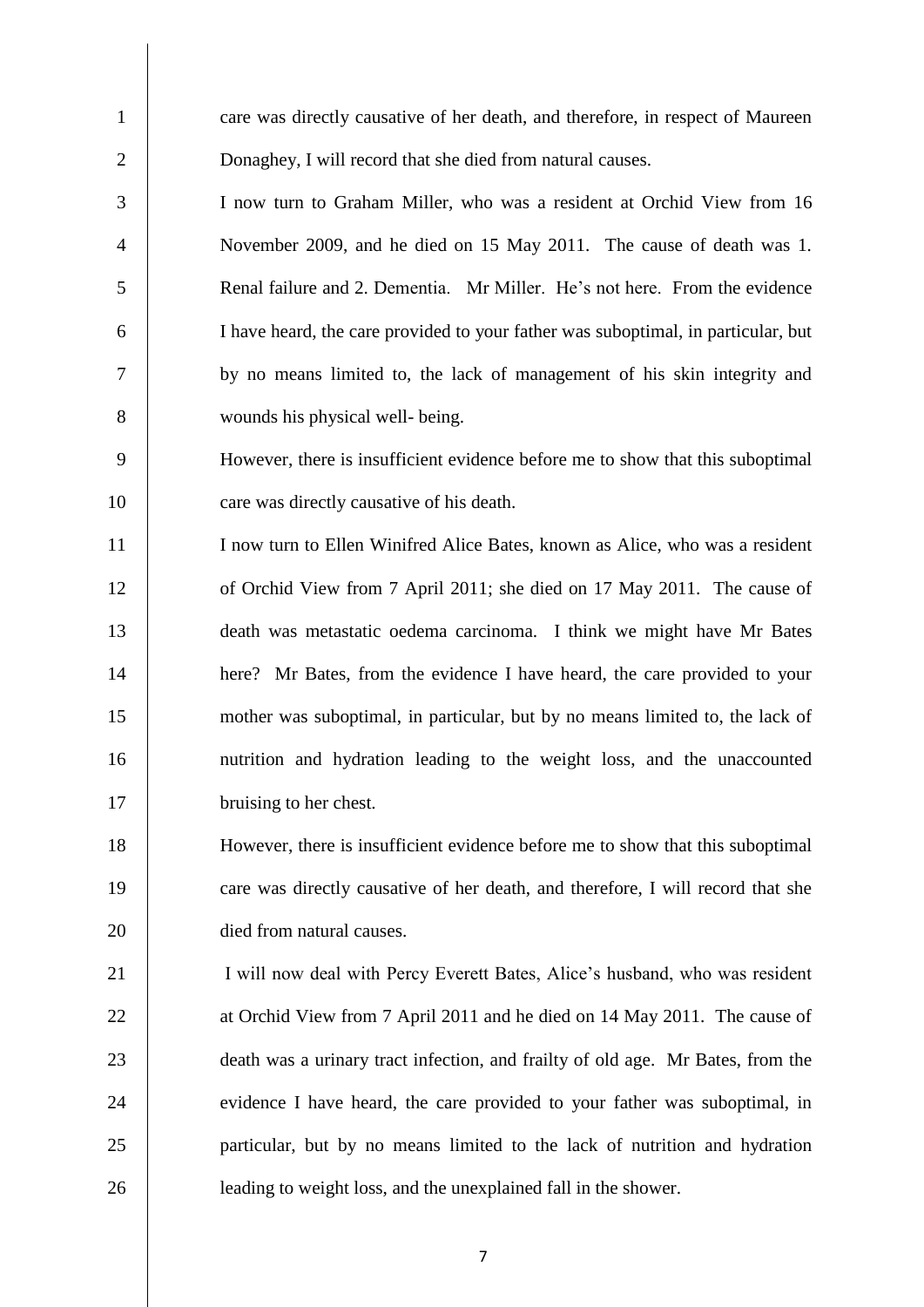| $\mathbf{1}$   | care was directly causative of her death, and therefore, in respect of Maureen    |
|----------------|-----------------------------------------------------------------------------------|
| $\overline{2}$ | Donaghey, I will record that she died from natural causes.                        |
| 3              | I now turn to Graham Miller, who was a resident at Orchid View from 16            |
| $\overline{4}$ | November 2009, and he died on 15 May 2011. The cause of death was 1.              |
| 5              | Renal failure and 2. Dementia. Mr Miller. He's not here. From the evidence        |
| 6              | I have heard, the care provided to your father was suboptimal, in particular, but |
| 7              | by no means limited to, the lack of management of his skin integrity and          |
| 8              | wounds his physical well- being.                                                  |
| 9              | However, there is insufficient evidence before me to show that this suboptimal    |
| 10             | care was directly causative of his death.                                         |
| 11             | I now turn to Ellen Winifred Alice Bates, known as Alice, who was a resident      |
| 12             | of Orchid View from 7 April 2011; she died on 17 May 2011. The cause of           |
| 13             | death was metastatic oedema carcinoma. I think we might have Mr Bates             |
| 14             | here? Mr Bates, from the evidence I have heard, the care provided to your         |
| 15             | mother was suboptimal, in particular, but by no means limited to, the lack of     |
| 16             | nutrition and hydration leading to the weight loss, and the unaccounted           |
| 17             | bruising to her chest.                                                            |
| 18             | However, there is insufficient evidence before me to show that this suboptimal    |
| 19             | care was directly causative of her death, and therefore, I will record that she   |
| 20             | died from natural causes.                                                         |
| 21             | I will now deal with Percy Everett Bates, Alice's husband, who was resident       |
| 22             | at Orchid View from 7 April 2011 and he died on 14 May 2011. The cause of         |
| 23             | death was a urinary tract infection, and frailty of old age. Mr Bates, from the   |
| 24             | evidence I have heard, the care provided to your father was suboptimal, in        |
| 25             | particular, but by no means limited to the lack of nutrition and hydration        |
| 26             | leading to weight loss, and the unexplained fall in the shower.                   |
|                |                                                                                   |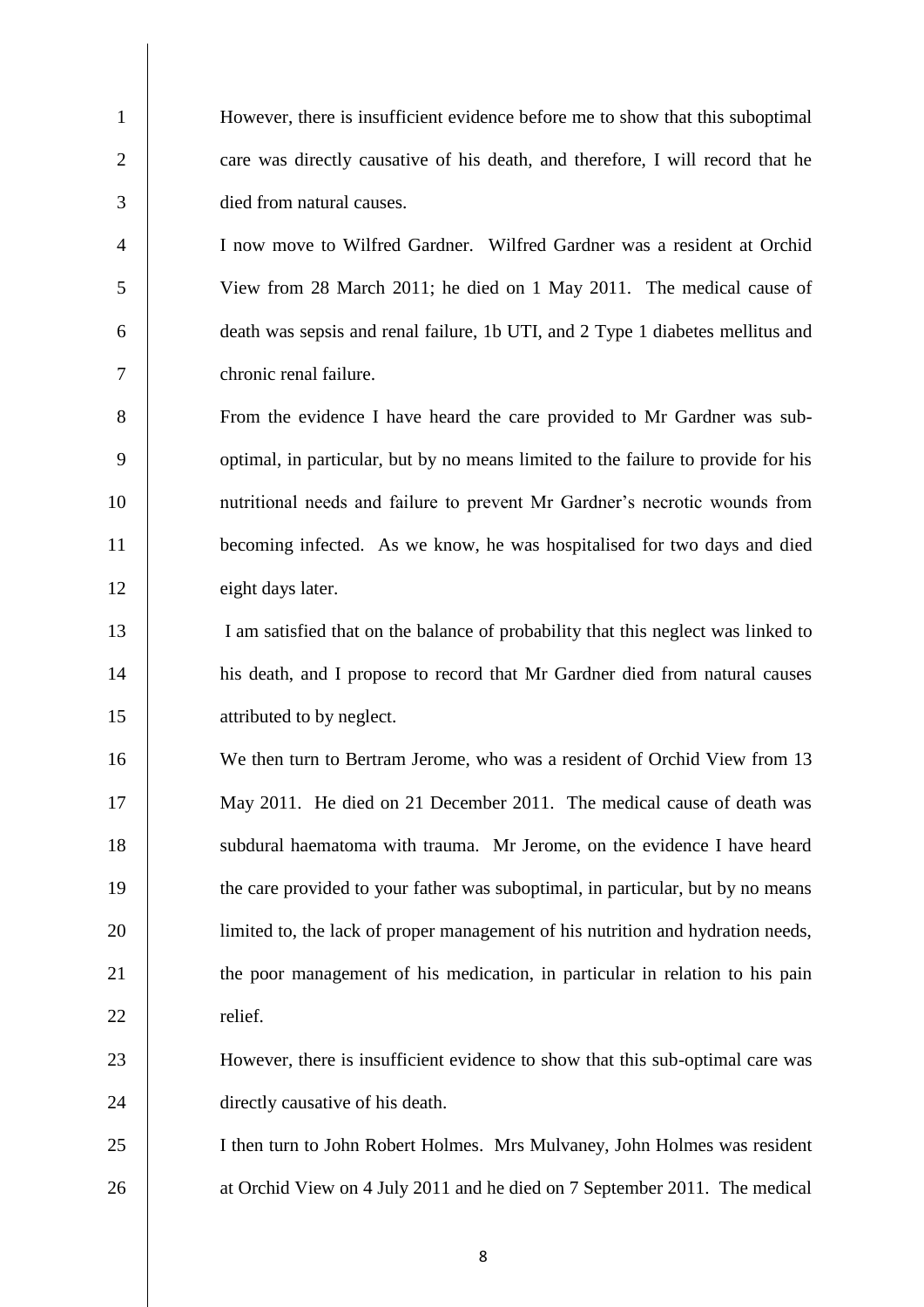However, there is insufficient evidence before me to show that this suboptimal 2 care was directly causative of his death, and therefore, I will record that he died from natural causes.

 I now move to Wilfred Gardner. Wilfred Gardner was a resident at Orchid View from 28 March 2011; he died on 1 May 2011. The medical cause of death was sepsis and renal failure, 1b UTI, and 2 Type 1 diabetes mellitus and chronic renal failure.

 From the evidence I have heard the care provided to Mr Gardner was sub-9 optimal, in particular, but by no means limited to the failure to provide for his nutritional needs and failure to prevent Mr Gardner's necrotic wounds from becoming infected. As we know, he was hospitalised for two days and died 12 eight days later.

 I am satisfied that on the balance of probability that this neglect was linked to his death, and I propose to record that Mr Gardner died from natural causes 15 attributed to by neglect.

 We then turn to Bertram Jerome, who was a resident of Orchid View from 13 May 2011. He died on 21 December 2011. The medical cause of death was 18 subdural haematoma with trauma. Mr Jerome, on the evidence I have heard the care provided to your father was suboptimal, in particular, but by no means limited to, the lack of proper management of his nutrition and hydration needs, 21 the poor management of his medication, in particular in relation to his pain 22 relief.

 However, there is insufficient evidence to show that this sub-optimal care was 24 directly causative of his death.

 I then turn to John Robert Holmes. Mrs Mulvaney, John Holmes was resident 26 at Orchid View on 4 July 2011 and he died on 7 September 2011. The medical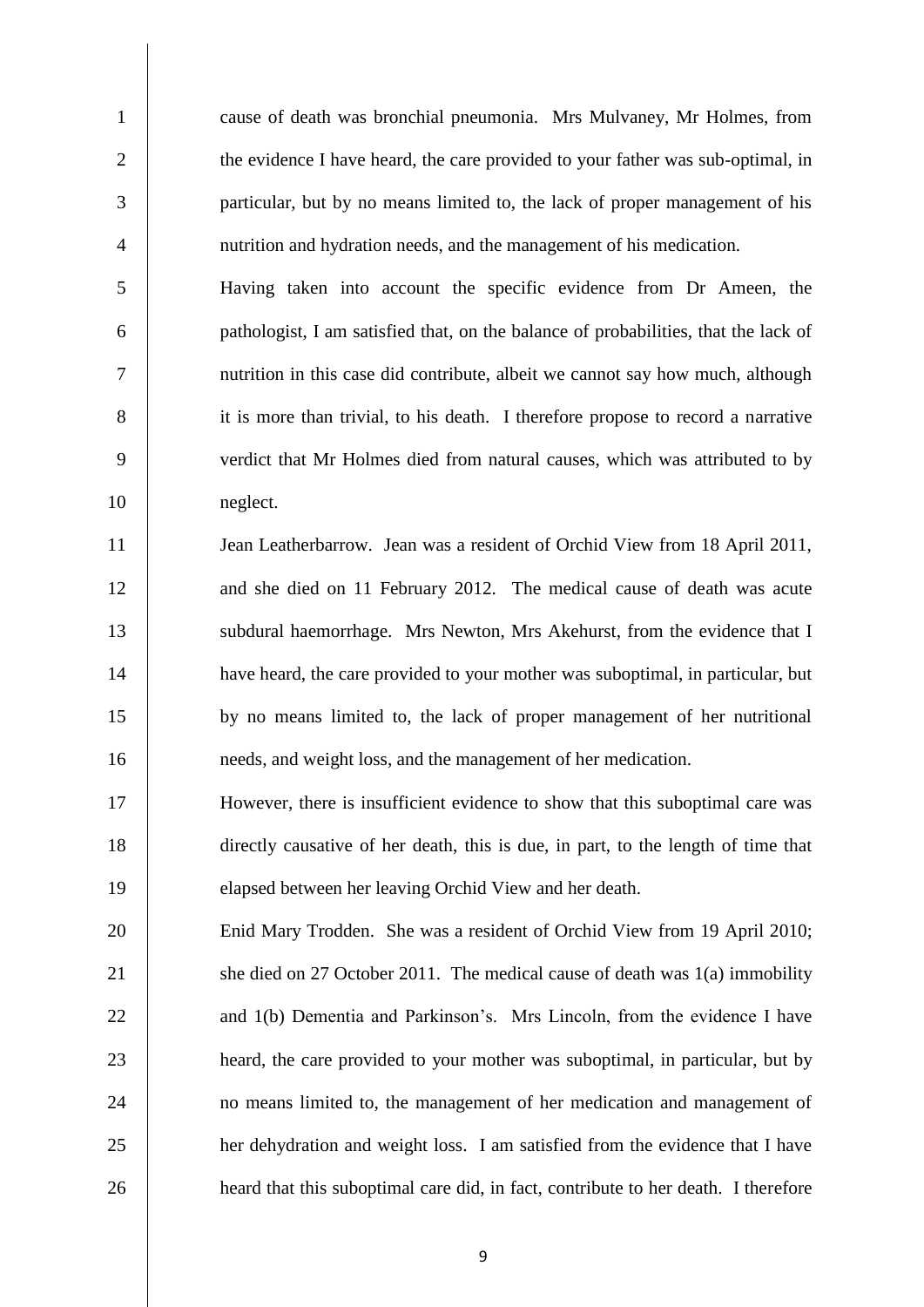cause of death was bronchial pneumonia. Mrs Mulvaney, Mr Holmes, from 2 the evidence I have heard, the care provided to your father was sub-optimal, in particular, but by no means limited to, the lack of proper management of his nutrition and hydration needs, and the management of his medication.

 Having taken into account the specific evidence from Dr Ameen, the pathologist, I am satisfied that, on the balance of probabilities, that the lack of nutrition in this case did contribute, albeit we cannot say how much, although 8 it is more than trivial, to his death. I therefore propose to record a narrative verdict that Mr Holmes died from natural causes, which was attributed to by neglect.

11 Jean Leatherbarrow. Jean was a resident of Orchid View from 18 April 2011, 12 and she died on 11 February 2012. The medical cause of death was acute 13 | subdural haemorrhage. Mrs Newton, Mrs Akehurst, from the evidence that I have heard, the care provided to your mother was suboptimal, in particular, but by no means limited to, the lack of proper management of her nutritional needs, and weight loss, and the management of her medication.

 However, there is insufficient evidence to show that this suboptimal care was directly causative of her death, this is due, in part, to the length of time that elapsed between her leaving Orchid View and her death.

 Enid Mary Trodden. She was a resident of Orchid View from 19 April 2010; 21 She died on 27 October 2011. The medical cause of death was 1(a) immobility 22 and 1(b) Dementia and Parkinson's. Mrs Lincoln, from the evidence I have heard, the care provided to your mother was suboptimal, in particular, but by 24 no means limited to, the management of her medication and management of her dehydration and weight loss. I am satisfied from the evidence that I have **heard that this suboptimal care did, in fact, contribute to her death.** I therefore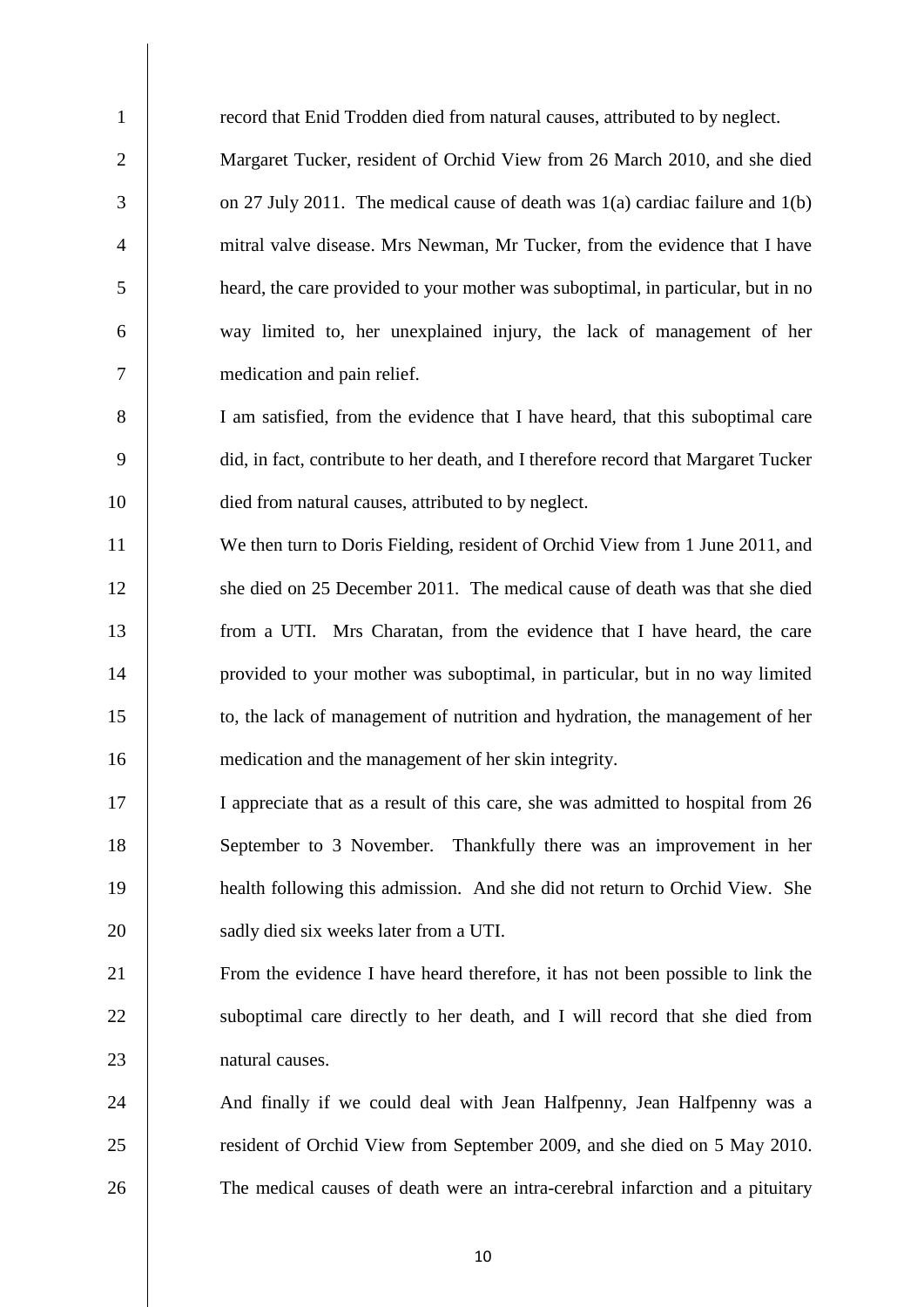| $\mathbf{1}$   | record that Enid Trodden died from natural causes, attributed to by neglect.       |
|----------------|------------------------------------------------------------------------------------|
| $\overline{2}$ | Margaret Tucker, resident of Orchid View from 26 March 2010, and she died          |
| 3              | on 27 July 2011. The medical cause of death was $1(a)$ cardiac failure and $1(b)$  |
| $\overline{4}$ | mitral valve disease. Mrs Newman, Mr Tucker, from the evidence that I have         |
| 5              | heard, the care provided to your mother was suboptimal, in particular, but in no   |
| 6              | way limited to, her unexplained injury, the lack of management of her              |
| $\tau$         | medication and pain relief.                                                        |
| 8              | I am satisfied, from the evidence that I have heard, that this suboptimal care     |
| 9              | did, in fact, contribute to her death, and I therefore record that Margaret Tucker |
| 10             | died from natural causes, attributed to by neglect.                                |
| 11             | We then turn to Doris Fielding, resident of Orchid View from 1 June 2011, and      |
| 12             | she died on 25 December 2011. The medical cause of death was that she died         |
| 13             | from a UTI. Mrs Charatan, from the evidence that I have heard, the care            |
| 14             | provided to your mother was suboptimal, in particular, but in no way limited       |
| 15             | to, the lack of management of nutrition and hydration, the management of her       |
| 16             | medication and the management of her skin integrity.                               |
| 17             | I appreciate that as a result of this care, she was admitted to hospital from 26   |
| 18             | September to 3 November. Thankfully there was an improvement in her                |
| 19             | health following this admission. And she did not return to Orchid View. She        |
| 20             | sadly died six weeks later from a UTI.                                             |
| 21             | From the evidence I have heard therefore, it has not been possible to link the     |
| 22             | suboptimal care directly to her death, and I will record that she died from        |
| 23             | natural causes.                                                                    |
| 24             | And finally if we could deal with Jean Halfpenny, Jean Halfpenny was a             |
| 25             | resident of Orchid View from September 2009, and she died on 5 May 2010.           |
| 26             | The medical causes of death were an intra-cerebral infarction and a pituitary      |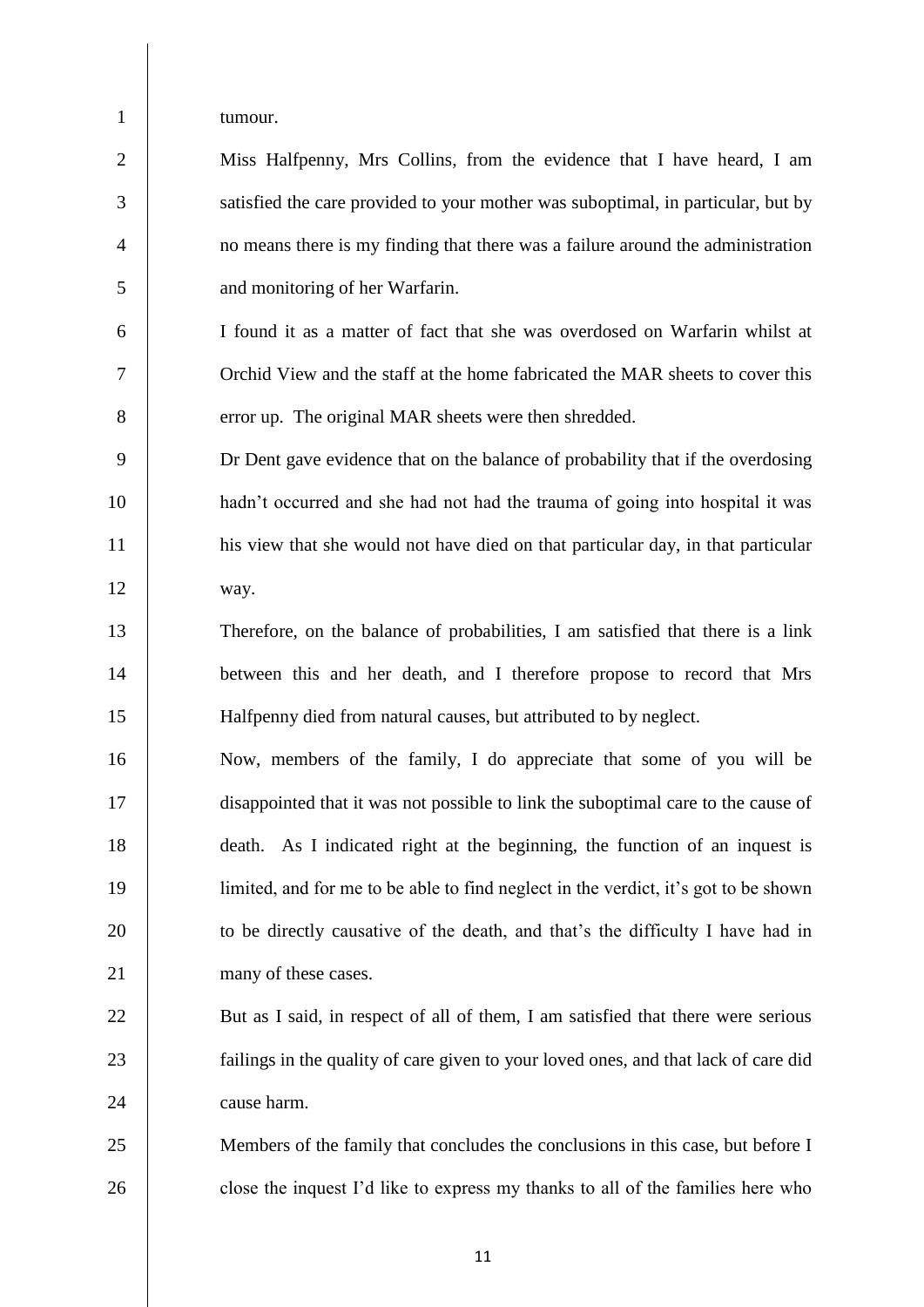tumour.

| $\overline{2}$ | Miss Halfpenny, Mrs Collins, from the evidence that I have heard, I am           |
|----------------|----------------------------------------------------------------------------------|
| $\overline{3}$ | satisfied the care provided to your mother was suboptimal, in particular, but by |
| $\overline{4}$ | no means there is my finding that there was a failure around the administration  |
| 5 <sup>5</sup> | and monitoring of her Warfarin.                                                  |

 I found it as a matter of fact that she was overdosed on Warfarin whilst at Orchid View and the staff at the home fabricated the MAR sheets to cover this 8 error up. The original MAR sheets were then shredded.

 Dr Dent gave evidence that on the balance of probability that if the overdosing hadn't occurred and she had not had the trauma of going into hospital it was his view that she would not have died on that particular day, in that particular way.

 Therefore, on the balance of probabilities, I am satisfied that there is a link between this and her death, and I therefore propose to record that Mrs Halfpenny died from natural causes, but attributed to by neglect.

 Now, members of the family, I do appreciate that some of you will be disappointed that it was not possible to link the suboptimal care to the cause of death. As I indicated right at the beginning, the function of an inquest is limited, and for me to be able to find neglect in the verdict, it's got to be shown 20 to be directly causative of the death, and that's the difficulty I have had in 21 many of these cases.

22 But as I said, in respect of all of them, I am satisfied that there were serious **failings in the quality of care given to your loved ones, and that lack of care did** 24 cause harm.

 Members of the family that concludes the conclusions in this case, but before I 26 close the inquest I'd like to express my thanks to all of the families here who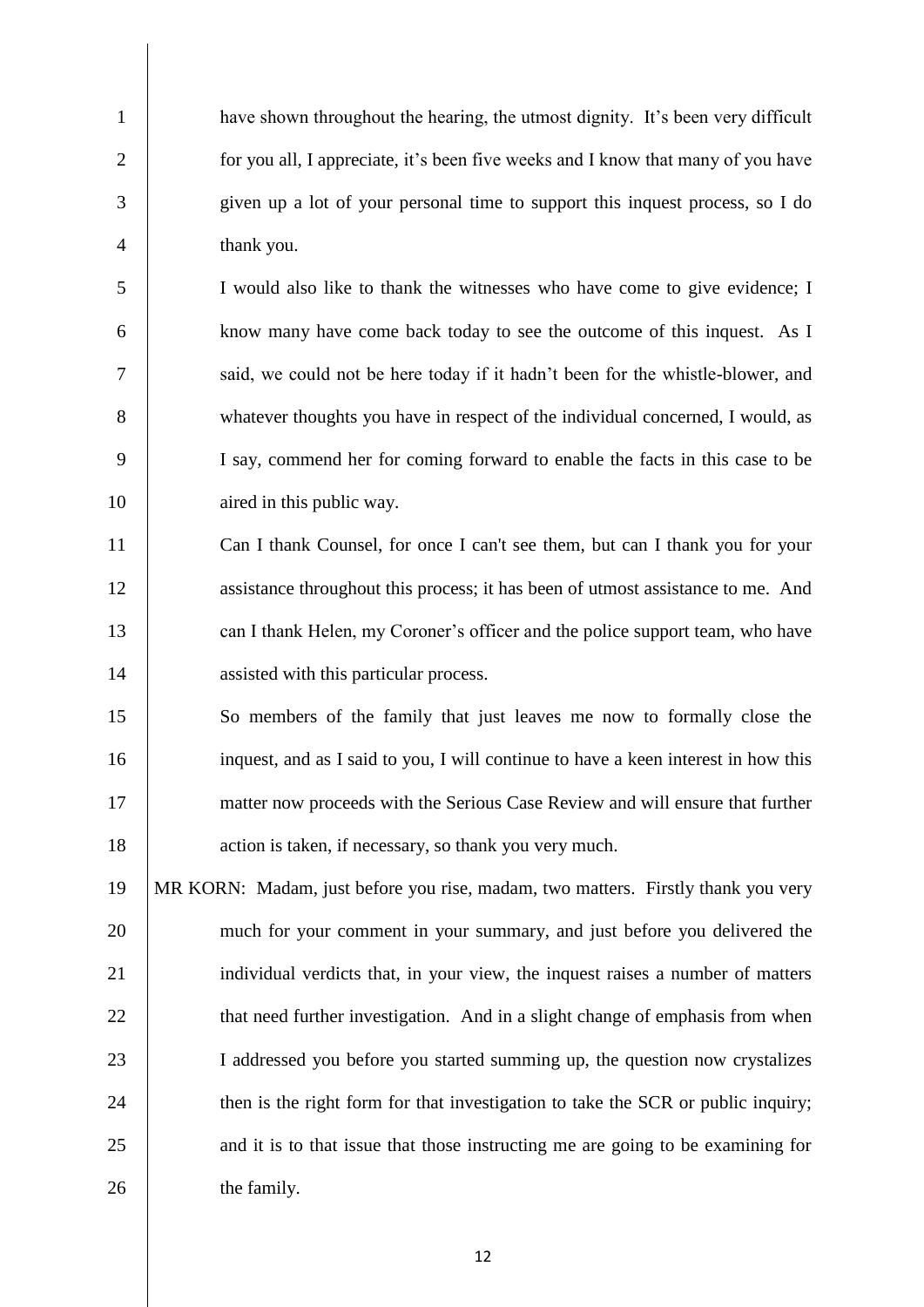have shown throughout the hearing, the utmost dignity. It's been very difficult 2 for you all, I appreciate, it's been five weeks and I know that many of you have given up a lot of your personal time to support this inquest process, so I do thank you.

 I would also like to thank the witnesses who have come to give evidence; I know many have come back today to see the outcome of this inquest. As I said, we could not be here today if it hadn't been for the whistle-blower, and whatever thoughts you have in respect of the individual concerned, I would, as I say, commend her for coming forward to enable the facts in this case to be 10 aired in this public way.

 Can I thank Counsel, for once I can't see them, but can I thank you for your 12 assistance throughout this process; it has been of utmost assistance to me. And 13 can I thank Helen, my Coroner's officer and the police support team, who have assisted with this particular process.

 So members of the family that just leaves me now to formally close the inquest, and as I said to you, I will continue to have a keen interest in how this matter now proceeds with the Serious Case Review and will ensure that further 18 action is taken, if necessary, so thank you very much.

 MR KORN: Madam, just before you rise, madam, two matters. Firstly thank you very 20 much for your comment in your summary, and just before you delivered the 21 individual verdicts that, in your view, the inquest raises a number of matters **that need further investigation.** And in a slight change of emphasis from when I addressed you before you started summing up, the question now crystalizes 24 then is the right form for that investigation to take the SCR or public inquiry; 25 and it is to that issue that those instructing me are going to be examining for 26 the family.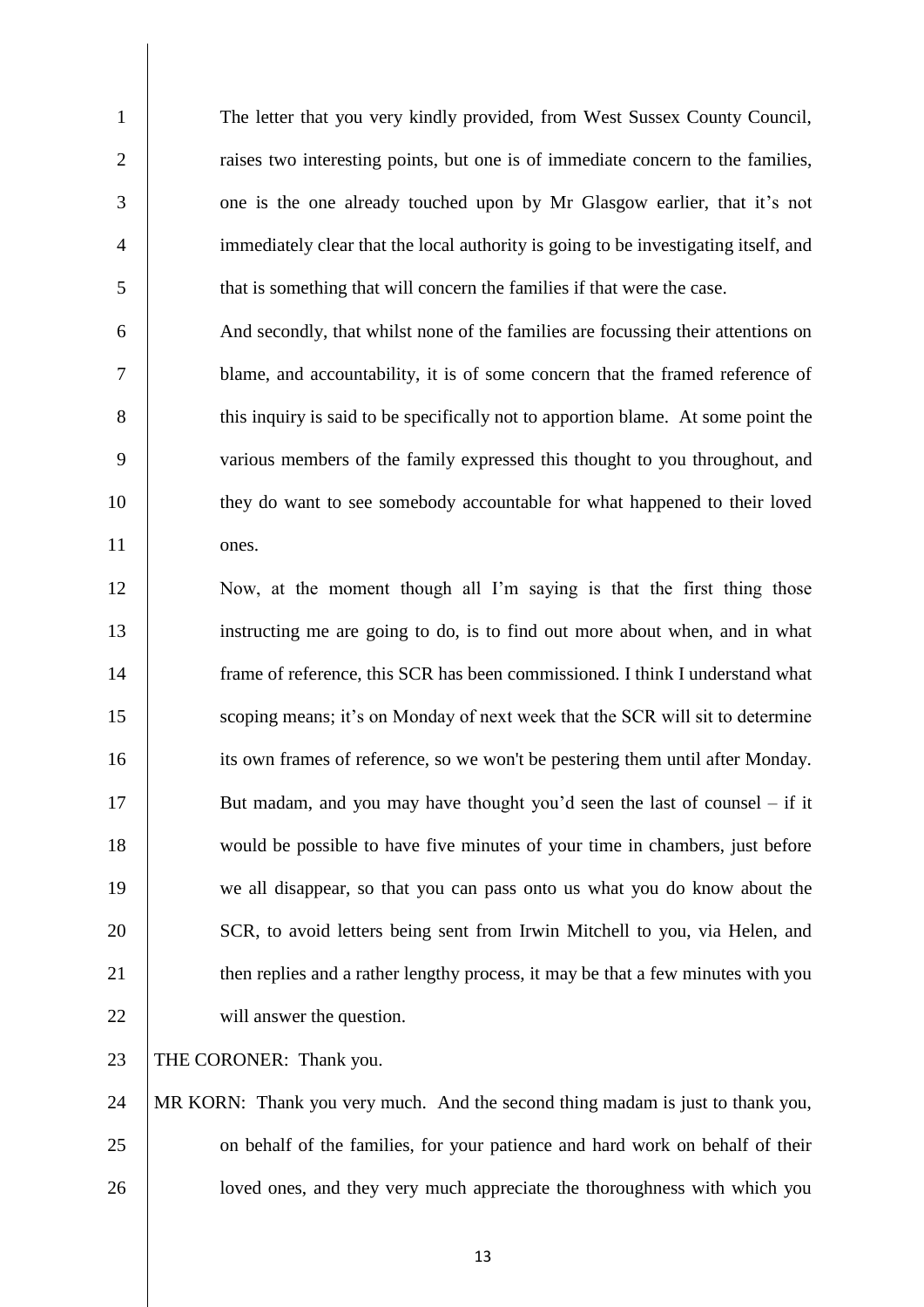The letter that you very kindly provided, from West Sussex County Council, 2 <sup>1</sup> raises two interesting points, but one is of immediate concern to the families, one is the one already touched upon by Mr Glasgow earlier, that it's not immediately clear that the local authority is going to be investigating itself, and that is something that will concern the families if that were the case.

 And secondly, that whilst none of the families are focussing their attentions on blame, and accountability, it is of some concern that the framed reference of 8 this inquiry is said to be specifically not to apportion blame. At some point the various members of the family expressed this thought to you throughout, and they do want to see somebody accountable for what happened to their loved ones.

 Now, at the moment though all I'm saying is that the first thing those instructing me are going to do, is to find out more about when, and in what frame of reference, this SCR has been commissioned. I think I understand what 15 Scoping means; it's on Monday of next week that the SCR will sit to determine its own frames of reference, so we won't be pestering them until after Monday. 17 But madam, and you may have thought you'd seen the last of counsel – if it would be possible to have five minutes of your time in chambers, just before we all disappear, so that you can pass onto us what you do know about the 20 SCR, to avoid letters being sent from Irwin Mitchell to you, via Helen, and 21 then replies and a rather lengthy process, it may be that a few minutes with you 22 will answer the question.

23 | THE CORONER: Thank you.

 MR KORN: Thank you very much. And the second thing madam is just to thank you, 25 on behalf of the families, for your patience and hard work on behalf of their 26 | loved ones, and they very much appreciate the thoroughness with which you